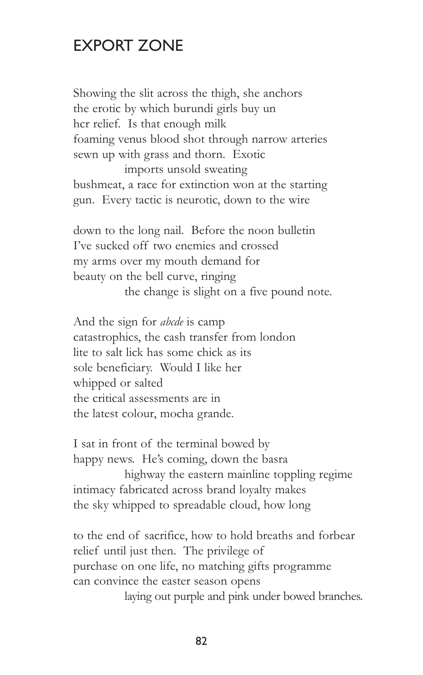## EXPORT ZONE

Showing the slit across the thigh, she anchors the erotic by which burundi girls buy un hcr relief. Is that enough milk foaming venus blood shot through narrow arteries sewn up with grass and thorn. Exotic imports unsold sweating bushmeat, a race for extinction won at the starting gun. Every tactic is neurotic, down to the wire

down to the long nail. Before the noon bulletin I've sucked off two enemies and crossed my arms over my mouth demand for beauty on the bell curve, ringing the change is slight on a five pound note.

And the sign for *abcde* is camp catastrophics, the cash transfer from london lite to salt lick has some chick as its sole beneficiary. Would I like her whipped or salted the critical assessments are in the latest colour, mocha grande.

I sat in front of the terminal bowed by happy news. He's coming, down the basra highway the eastern mainline toppling regime intimacy fabricated across brand loyalty makes the sky whipped to spreadable cloud, how long

to the end of sacrifice, how to hold breaths and forbear relief until just then. The privilege of purchase on one life, no matching gifts programme can convince the easter season opens

laying out purple and pink under bowed branches.